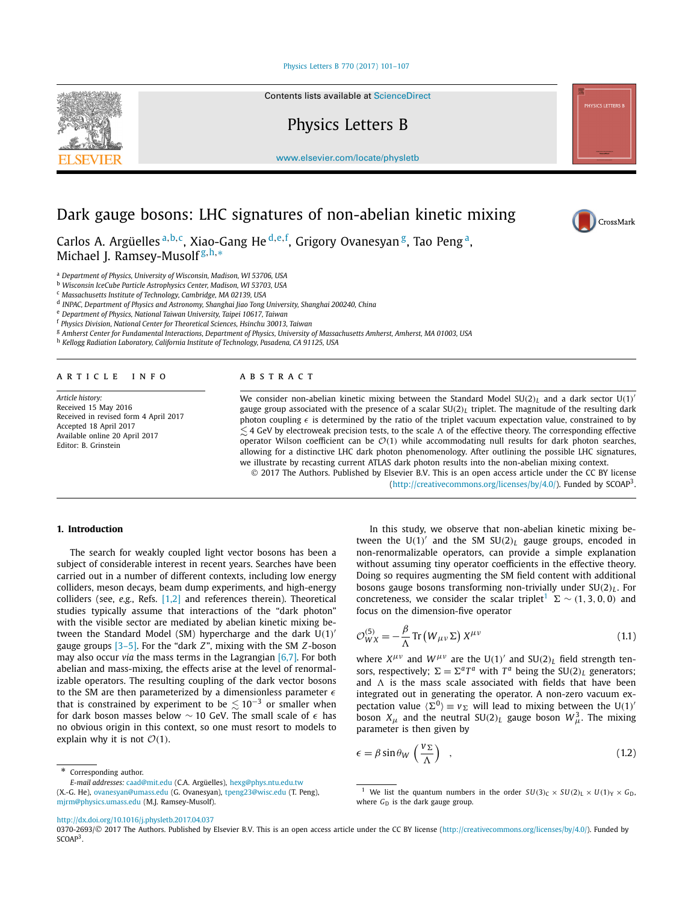# [Physics Letters B 770 \(2017\) 101–107](http://dx.doi.org/10.1016/j.physletb.2017.04.037)

<span id="page-0-0"></span>

Contents lists available at [ScienceDirect](http://www.ScienceDirect.com/)

Physics Letters B

[www.elsevier.com/locate/physletb](http://www.elsevier.com/locate/physletb)

# Dark gauge bosons: LHC signatures of non-abelian kinetic mixing

Carlos A. Argüelles <sup>a</sup>*,*b*,*c, Xiao-Gang He <sup>d</sup>*,*e*,*<sup>f</sup> , Grigory Ovanesyan g, Tao Peng a, Michael J. Ramsey-Musolf <sup>g</sup>*,*h*,*<sup>∗</sup>

<sup>a</sup> *Department of Physics, University of Wisconsin, Madison, WI 53706, USA*

<sup>b</sup> *Wisconsin IceCube Particle Astrophysics Center, Madison, WI 53703, USA*

<sup>c</sup> *Massachusetts Institute of Technology, Cambridge, MA 02139, USA*

<sup>d</sup> *INPAC, Department of Physics and Astronomy, Shanghai Jiao Tong University, Shanghai 200240, China*

<sup>e</sup> *Department of Physics, National Taiwan University, Taipei 10617, Taiwan*

<sup>f</sup> *Physics Division, National Center for Theoretical Sciences, Hsinchu 30013, Taiwan*

<sup>g</sup> Amherst Center for Fundamental Interactions, Department of Physics, University of Massachusetts Amherst, Amherst, MA 01003, USA

<sup>h</sup> *Kellogg Radiation Laboratory, California Institute of Technology, Pasadena, CA 91125, USA*

#### A R T I C L E I N F O A B S T R A C T

*Article history:* Received 15 May 2016 Received in revised form 4 April 2017 Accepted 18 April 2017 Available online 20 April 2017 Editor: B. Grinstein

We consider non-abelian kinetic mixing between the Standard Model  $SU(2)_L$  and a dark sector  $U(1)'$ gauge group associated with the presence of a scalar  $SU(2)_L$  triplet. The magnitude of the resulting dark photon coupling  $\epsilon$  is determined by the ratio of the triplet vacuum expectation value, constrained to by  $\lesssim$  4 GeV by electroweak precision tests, to the scale  $\Lambda$  of the effective theory. The corresponding effective operator Wilson coefficient can be  $O(1)$  while accommodating null results for dark photon searches, allowing for a distinctive LHC dark photon phenomenology. After outlining the possible LHC signatures, we illustrate by recasting current ATLAS dark photon results into the non-abelian mixing context. © 2017 The Authors. Published by Elsevier B.V. This is an open access article under the CC BY license

[\(http://creativecommons.org/licenses/by/4.0/\)](http://creativecommons.org/licenses/by/4.0/). Funded by SCOAP3.

# **1. Introduction**

The search for weakly coupled light vector bosons has been a subject of considerable interest in recent years. Searches have been carried out in a number of different contexts, including low energy colliders, meson decays, beam dump experiments, and high-energy colliders (see, *e.g.*, Refs. [\[1,2\]](#page-5-0) and references therein). Theoretical studies typically assume that interactions of the "dark photon" with the visible sector are mediated by abelian kinetic mixing between the Standard Model (SM) hypercharge and the dark U*(*1*)* gauge groups [\[3–5\].](#page-5-0) For the "dark *Z*", mixing with the SM *Z*-boson may also occur *via* the mass terms in the Lagrangian [\[6,7\].](#page-5-0) For both abelian and mass-mixing, the effects arise at the level of renormalizable operators. The resulting coupling of the dark vector bosons to the SM are then parameterized by a dimensionless parameter  $\epsilon$ that is constrained by experiment to be  $\lesssim$  10<sup>−3</sup> or smaller when for dark boson masses below ∼ 10 GeV. The small scale of *-* has no obvious origin in this context, so one must resort to models to explain why it is not  $\mathcal{O}(1)$ .

*E-mail addresses:* [caad@mit.edu](mailto:caad@mit.edu) (C.A. Argüelles), [hexg@phys.ntu.edu.tw](mailto:hexg@phys.ntu.edu.tw) (X.-G. He), [ovanesyan@umass.edu](mailto:ovanesyan@umass.edu) (G. Ovanesyan), [tpeng23@wisc.edu](mailto:tpeng23@wisc.edu) (T. Peng),

In this study, we observe that non-abelian kinetic mixing between the  $U(1)'$  and the SM  $SU(2)_L$  gauge groups, encoded in non-renormalizable operators, can provide a simple explanation without assuming tiny operator coefficients in the effective theory. Doing so requires augmenting the SM field content with additional bosons gauge bosons transforming non-trivially under SU*(*2*)<sup>L</sup>* . For concreteness, we consider the scalar triplet<sup>1</sup>  $\Sigma \sim (1, 3, 0, 0)$  and focus on the dimension-five operator

$$
\mathcal{O}_{WX}^{(5)} = -\frac{\beta}{\Lambda} \operatorname{Tr} \left( W_{\mu\nu} \Sigma \right) X^{\mu\nu} \tag{1.1}
$$

where  $X^{\mu\nu}$  and  $W^{\mu\nu}$  are the U(1)<sup>'</sup> and SU(2)<sub>*L*</sub> field strength tensors, respectively;  $\Sigma = \Sigma^a T^a$  with  $T^a$  being the SU(2)<sub>*L*</sub> generators; and  $\Lambda$  is the mass scale associated with fields that have been integrated out in generating the operator. A non-zero vacuum expectation value  $\langle \Sigma^0 \rangle \equiv v_{\Sigma}$  will lead to mixing between the U(1)<sup>*'*</sup> boson  $X_\mu$  and the neutral  $SU(2)_L$  gauge boson  $W_\mu^3$ . The mixing parameter is then given by

$$
\epsilon = \beta \sin \theta_W \left(\frac{v_{\Sigma}}{\Lambda}\right) \quad , \tag{1.2}
$$

[mjrm@physics.umass.edu](mailto:mjrm@physics.umass.edu) (M.J. Ramsey-Musolf).

\* Corresponding author.

<http://dx.doi.org/10.1016/j.physletb.2017.04.037>



We list the quantum numbers in the order  $SU(3)_C \times SU(2)_L \times U(1)_Y \times G_D$ , where *G*<sub>D</sub> is the dark gauge group.

<sup>0370-2693/© 2017</sup> The Authors. Published by Elsevier B.V. This is an open access article under the CC BY license [\(http://creativecommons.org/licenses/by/4.0/\)](http://creativecommons.org/licenses/by/4.0/). Funded by SCOAP<sup>3</sup>.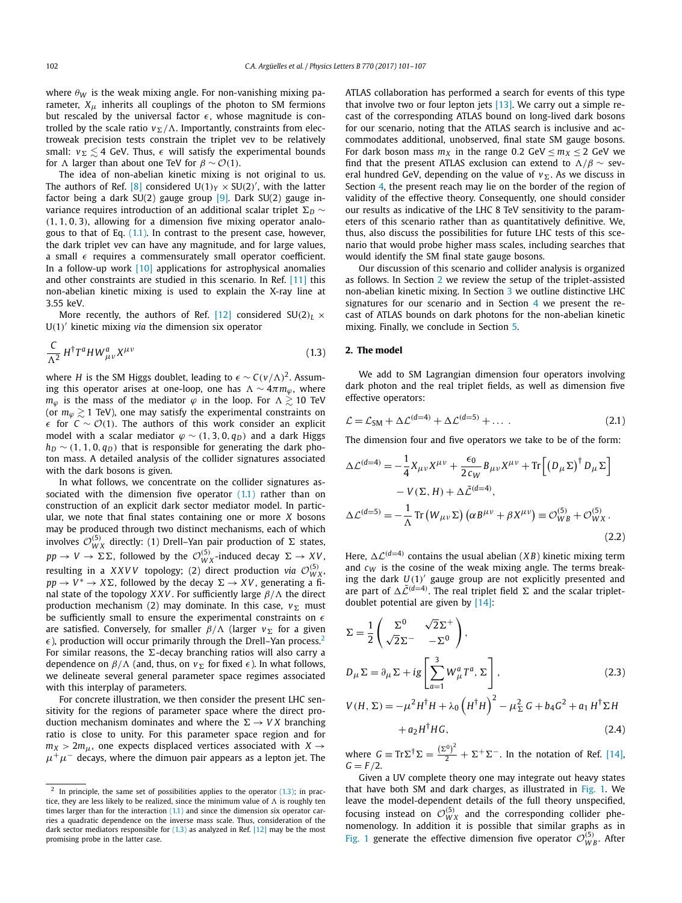where  $\theta_W$  is the weak mixing angle. For non-vanishing mixing parameter,  $X_{\mu}$  inherits all couplings of the photon to SM fermions but rescaled by the universal factor  $\epsilon$ , whose magnitude is controlled by the scale ratio  $v_{\Sigma}/\Lambda$ . Importantly, constraints from electroweak precision tests constrain the triplet vev to be relatively small:  $v_{\Sigma} \lesssim$  4 GeV. Thus,  $\epsilon$  will satisfy the experimental bounds for  $\Lambda$  larger than about one TeV for  $\beta \sim \mathcal{O}(1)$ .

The idea of non-abelian kinetic mixing is not original to us. The authors of Ref. [\[8\]](#page-6-0) considered  $U(1)_Y \times SU(2)'$ , with the latter factor being a dark  $SU(2)$  gauge group [\[9\].](#page-6-0) Dark  $SU(2)$  gauge invariance requires introduction of an additional scalar triplet *<sup>D</sup>* ∼ *(*1*,* 1*,* 0*,* 3*)*, allowing for a dimension five mixing operator analogous to that of Eq.  $(1,1)$ . In contrast to the present case, however, the dark triplet vev can have any magnitude, and for large values, a small  $\epsilon$  requires a commensurately small operator coefficient. In a follow-up work [\[10\]](#page-6-0) applications for astrophysical anomalies and other constraints are studied in this scenario. In Ref. [\[11\]](#page-6-0) this non-abelian kinetic mixing is used to explain the X-ray line at 3.55 keV.

More recently, the authors of Ref. [\[12\]](#page-6-0) considered  $SU(2)_L \times$ U*(*1*)* kinetic mixing *via* the dimension six operator

$$
\frac{C}{\Lambda^2} H^{\dagger} T^a H W^a_{\mu\nu} X^{\mu\nu} \tag{1.3}
$$

where *H* is the SM Higgs doublet, leading to  $\epsilon \sim C(v/\Lambda)^2$ . Assuming this operator arises at one-loop, one has  $\Lambda \sim 4\pi m_\phi$ , where  $m_{\varphi}$  is the mass of the mediator  $\varphi$  in the loop. For  $\Lambda \geq 10$  TeV (or  $m_{\omega} \geq 1$  TeV), one may satisfy the experimental constraints on *-* for *<sup>C</sup>* ∼ O*(*1*)*. The authors of this work consider an explicit model with a scalar mediator  $\varphi \sim (1, 3, 0, q_D)$  and a dark Higgs  $h_D \sim (1, 1, 0, q_D)$  that is responsible for generating the dark photon mass. A detailed analysis of the collider signatures associated with the dark bosons is given.

In what follows, we concentrate on the collider signatures associated with the dimension five operator  $(1.1)$  rather than on construction of an explicit dark sector mediator model. In particular, we note that final states containing one or more *X* bosons may be produced through two distinct mechanisms, each of which involves  $\mathcal{O}_{WX}^{(5)}$  directly: (1) Drell–Yan pair production of  $\Sigma$  states,  $pp \to V \to \Sigma \Sigma$ , followed by the  $\mathcal{O}_{WX}^{(5)}$ -induced decay  $\Sigma \to XV$ , resulting in a *XXVV* topology; (2) direct production *via*  $\mathcal{O}_{W_X}^{(5)}$ ,  $pp \rightarrow V^* \rightarrow X\Sigma$ , followed by the decay  $\Sigma \rightarrow XV$ , generating a final state of the topology *XXV*. For sufficiently large  $\beta/\Lambda$  the direct production mechanism (2) may dominate. In this case,  $v_{\Sigma}$  must be sufficiently small to ensure the experimental constraints on  $\epsilon$ are satisfied. Conversely, for smaller  $β/Λ$  (larger  $ν_Σ$  for a given  $\epsilon$ ), production will occur primarily through the Drell–Yan process.<sup>2</sup> For similar reasons, the  $\Sigma$ -decay branching ratios will also carry a dependence on *β*/Λ (and, thus, on  $ν_Σ$  for fixed  $ε$ ). In what follows, we delineate several general parameter space regimes associated with this interplay of parameters.

For concrete illustration, we then consider the present LHC sensitivity for the regions of parameter space where the direct production mechanism dominates and where the  $\Sigma \rightarrow V X$  branching ratio is close to unity. For this parameter space region and for  $m_X > 2m_\mu$ , one expects displaced vertices associated with  $X \rightarrow$  $\mu^+\mu^-$  decays, where the dimuon pair appears as a lepton jet. The ATLAS collaboration has performed a search for events of this type that involve two or four lepton jets  $[13]$ . We carry out a simple recast of the corresponding ATLAS bound on long-lived dark bosons for our scenario, noting that the ATLAS search is inclusive and accommodates additional, unobserved, final state SM gauge bosons. For dark boson mass  $m_X$  in the range 0.2 GeV  $\leq m_X \leq 2$  GeV we find that the present ATLAS exclusion can extend to  $\Lambda/\beta \sim$  several hundred GeV, depending on the value of  $v_{\Sigma}$ . As we discuss in Section [4,](#page-4-0) the present reach may lie on the border of the region of validity of the effective theory. Consequently, one should consider our results as indicative of the LHC 8 TeV sensitivity to the parameters of this scenario rather than as quantitatively definitive. We, thus, also discuss the possibilities for future LHC tests of this scenario that would probe higher mass scales, including searches that would identify the SM final state gauge bosons.

Our discussion of this scenario and collider analysis is organized as follows. In Section 2 we review the setup of the triplet-assisted non-abelian kinetic mixing. In Section [3](#page-2-0) we outline distinctive LHC signatures for our scenario and in Section  $4$  we present the recast of ATLAS bounds on dark photons for the non-abelian kinetic mixing. Finally, we conclude in Section [5.](#page-5-0)

# **2. The model**

We add to SM Lagrangian dimension four operators involving dark photon and the real triplet fields, as well as dimension five effective operators:

$$
\mathcal{L} = \mathcal{L}_{SM} + \Delta \mathcal{L}^{(d=4)} + \Delta \mathcal{L}^{(d=5)} + \dots \tag{2.1}
$$

The dimension four and five operators we take to be of the form:

$$
\Delta \mathcal{L}^{(d=4)} = -\frac{1}{4} X_{\mu\nu} X^{\mu\nu} + \frac{\epsilon_0}{2 c_W} B_{\mu\nu} X^{\mu\nu} + \text{Tr} \left[ \left( D_{\mu} \Sigma \right)^{\dagger} D_{\mu} \Sigma \right] \n- V(\Sigma, H) + \Delta \tilde{\mathcal{L}}^{(d=4)}, \n\Delta \mathcal{L}^{(d=5)} = -\frac{1}{\Lambda} \text{Tr} \left( W_{\mu\nu} \Sigma \right) \left( \alpha B^{\mu\nu} + \beta X^{\mu\nu} \right) \equiv \mathcal{O}_{WB}^{(5)} + \mathcal{O}_{WX}^{(5)}.
$$
\n(2.2)

Here,  $\Delta \mathcal{L}^{(d=4)}$  contains the usual abelian (*XB*) kinetic mixing term and  $c_W$  is the cosine of the weak mixing angle. The terms breaking the dark *U(*1*)* gauge group are not explicitly presented and are part of  $\Delta \tilde{\mathcal{L}}^{(d=4)}$ . The real triplet field  $\Sigma$  and the scalar tripletdoublet potential are given by [\[14\]:](#page-6-0)

$$
\Sigma = \frac{1}{2} \begin{pmatrix} \Sigma^0 & \sqrt{2} \Sigma^+ \\ \sqrt{2} \Sigma^- & -\Sigma^0 \end{pmatrix},
$$
  
\n
$$
D_{\mu} \Sigma = \partial_{\mu} \Sigma + i g \left[ \sum_{a=1}^3 W_{\mu}^a T^a, \Sigma \right],
$$
\n(2.3)

$$
V(H, \Sigma) = -\mu^2 H^{\dagger} H + \lambda_0 \left( H^{\dagger} H \right)^2 - \mu_{\Sigma}^2 G + b_4 G^2 + a_1 H^{\dagger} \Sigma H
$$
  
+ a<sub>2</sub>H<sup>\dagger</sup>HG, (2.4)

where  $G \equiv \text{Tr}\Sigma^{\dagger}\Sigma = \frac{(\Sigma^0)^2}{2} + \Sigma^+ \Sigma^-$ . In the notation of Ref. [\[14\],](#page-6-0)  $G = F/2$ .

Given a UV complete theory one may integrate out heavy states that have both SM and dark charges, as illustrated in [Fig. 1.](#page-2-0) We leave the model-dependent details of the full theory unspecified, focusing instead on  $\mathcal{O}_{WX}^{(5)}$  and the corresponding collider phenomenology. In addition it is possible that similar graphs as in [Fig. 1](#page-2-0) generate the effective dimension five operator  $\mathcal{O}_{WB}^{(5)}$ . After

 $2$  In principle, the same set of possibilities applies to the operator (1.3); in practice, they are less likely to be realized, since the minimum value of  $\Lambda$  is roughly ten times larger than for the interaction  $(1.1)$  and since the dimension six operator carries a quadratic dependence on the inverse mass scale. Thus, consideration of the dark sector mediators responsible for (1.3) as analyzed in Ref. [\[12\]](#page-6-0) may be the most promising probe in the latter case.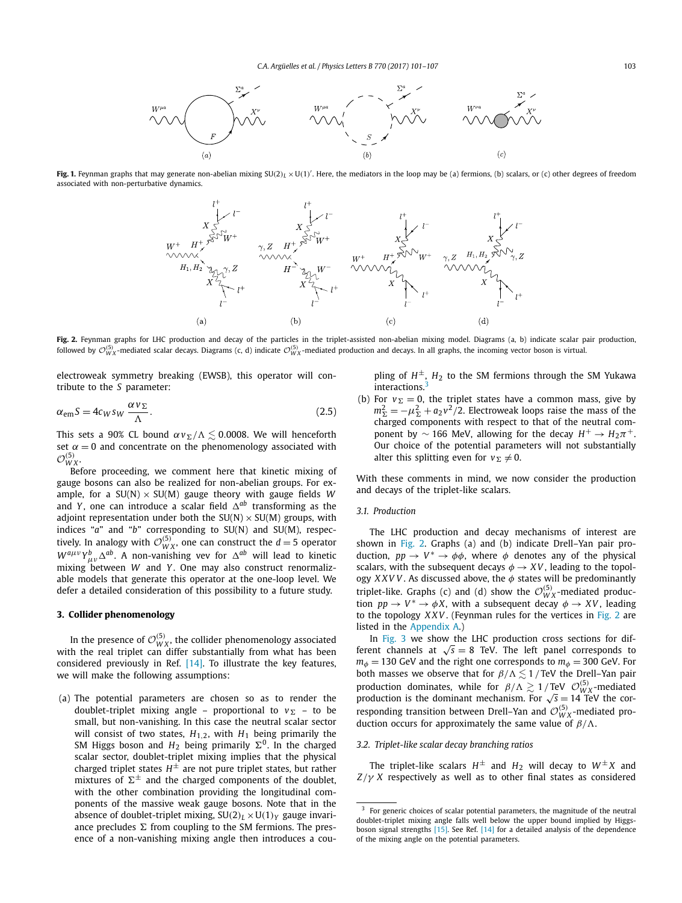<span id="page-2-0"></span>

**Fig. 1.** Feynman graphs that may generate non-abelian mixing SU(2)<sub>L</sub>  $\times$ U(1)<sup>'</sup>. Here, the mediators in the loop may be (a) fermions, (b) scalars, or (c) other degrees of freedom associated with non-perturbative dynamics.



**Fig. 2.** Feynman graphs for LHC production and decay of the particles in the triplet-assisted non-abelian mixing model. Diagrams (a, b) indicate scalar pair production,<br>followed by  ${\cal O}_{WX}^{(5)}$ -mediated scalar decays. D

electroweak symmetry breaking (EWSB), this operator will contribute to the *S* parameter:

$$
\alpha_{\rm em} S = 4c_W s_W \frac{\alpha v_{\Sigma}}{\Lambda}.
$$
\n(2.5)

This sets a 90% CL bound  $\alpha v_{\Sigma}/\Lambda \lesssim$  0.0008. We will henceforth set  $\alpha = 0$  and concentrate on the phenomenology associated with  $\mathcal{O}_{W_X}^{(5)}$ .

Before proceeding, we comment here that kinetic mixing of gauge bosons can also be realized for non-abelian groups. For example, for a  $SU(N) \times SU(M)$  gauge theory with gauge fields *W* and *Y* , one can introduce a scalar field  *ab* transforming as the adjoint representation under both the  $SU(N) \times SU(M)$  groups, with indices "*a*" and "*b*" corresponding to SU(N) and SU(M), respectively. In analogy with  $\mathcal{O}_{WX}^{(5)}$ , one can construct the  $d=5$  operator  $W^{a\mu\nu}Y^b_{\mu\nu}\Delta^{ab}$ . A non-vanishing vev for  $\Delta^{ab}$  will lead to kinetic mixing between *W* and *Y*. One may also construct renormalizable models that generate this operator at the one-loop level. We defer a detailed consideration of this possibility to a future study.

# **3. Collider phenomenology**

In the presence of  $\mathcal{O}_{WX}^{(5)}$ , the collider phenomenology associated with the real triplet can differ substantially from what has been considered previously in Ref. [\[14\].](#page-6-0) To illustrate the key features, we will make the following assumptions:

(a) The potential parameters are chosen so as to render the doublet-triplet mixing angle – proportional to  $v_{\Sigma}$  – to be small, but non-vanishing. In this case the neutral scalar sector will consist of two states,  $H_{1,2}$ , with  $H_1$  being primarily the SM Higgs boson and  $H_2$  being primarily  $\Sigma^0$ . In the charged scalar sector, doublet-triplet mixing implies that the physical charged triplet states  $H^{\pm}$  are not pure triplet states, but rather mixtures of  $\Sigma^{\pm}$  and the charged components of the doublet, with the other combination providing the longitudinal components of the massive weak gauge bosons. Note that in the absence of doublet-triplet mixing,  $SU(2)_L \times U(1)_Y$  gauge invariance precludes  $\Sigma$  from coupling to the SM fermions. The presence of a non-vanishing mixing angle then introduces a coupling of  $H^{\pm}$ ,  $H_2$  to the SM fermions through the SM Yukawa interactions.<sup>3</sup>

(b) For  $v_{\Sigma} = 0$ , the triplet states have a common mass, give by  $m_{\Sigma}^2 = -\mu_{\Sigma}^2 + a_2 v^2/2$ . Electroweak loops raise the mass of the charged components with respect to that of the neutral component by  $\sim$  166 MeV, allowing for the decay  $H^+ \rightarrow H_2 \pi^+$ . Our choice of the potential parameters will not substantially alter this splitting even for  $v_{\Sigma} \neq 0$ .

With these comments in mind, we now consider the production and decays of the triplet-like scalars.

# *3.1. Production*

The LHC production and decay mechanisms of interest are shown in Fig. 2. Graphs (a) and (b) indicate Drell–Yan pair production,  $pp \rightarrow V^* \rightarrow \phi\phi$ , where  $\phi$  denotes any of the physical scalars, with the subsequent decays  $\phi \rightarrow XV$ , leading to the topology *XXVV* . As discussed above, the *φ* states will be predominantly triplet-like. Graphs (c) and (d) show the  $\mathcal{O}_{WX}^{(5)}$ -mediated production  $pp \rightarrow V^* \rightarrow \phi X$ , with a subsequent decay  $\phi \rightarrow XV$ , leading to the topology *XXV* . (Feynman rules for the vertices in Fig. 2 are listed in the [Appendix A.](#page-5-0))

In [Fig. 3](#page-3-0) we show the LHC production cross sections for different channels at  $\sqrt{s} = 8$  TeV. The left panel corresponds to  $m_{\phi}$  = 130 GeV and the right one corresponds to  $m_{\phi}$  = 300 GeV. For both masses we observe that for  $\beta/\Lambda \lesssim 1$  / TeV the Drell–Yan pair production dominates, while for  $\beta/\Lambda \gtrsim 1/\text{TeV}$   $\mathcal{O}_{WX}^{(5)}$ -mediated production is the dominant mechanism. For  $\sqrt{s} = 14$  TeV the corresponding transition between Drell–Yan and  $\mathcal{O}_{WX}^{(5)}$ -mediated production occurs for approximately the same value of *β/*.

### *3.2. Triplet-like scalar decay branching ratios*

The triplet-like scalars  $H^{\pm}$  and  $H_2$  will decay to  $W^{\pm}X$  and *Z/γ X* respectively as well as to other final states as considered

 $3$  For generic choices of scalar potential parameters, the magnitude of the neutral doublet-triplet mixing angle falls well below the upper bound implied by Higgsboson signal strengths [\[15\].](#page-6-0) See Ref. [\[14\]](#page-6-0) for a detailed analysis of the dependence of the mixing angle on the potential parameters.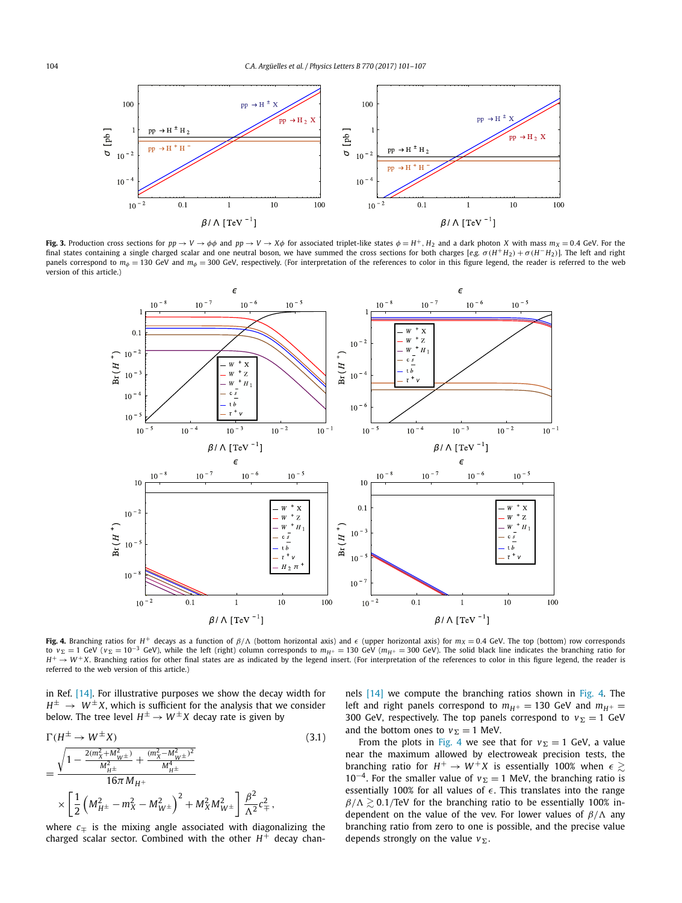<span id="page-3-0"></span>

Fig. 3. Production cross sections for  $pp \rightarrow V \rightarrow \phi \phi$  and  $pp \rightarrow V \rightarrow X \phi$  for associated triplet-like states  $\phi = H^+, H_2$  and a dark photon X with mass  $m_X = 0.4$  GeV. For the final states containing a single charged scalar and one neutral boson, we have summed the cross sections for both charges [e.g.  $\sigma(H^+H_2) + \sigma(H^-H_2)$ ]. The left and right panels correspond to  $m_{\phi}$  = 130 GeV and  $m_{\phi}$  = 300 GeV, respectively. (For interpretation of the references to color in this figure legend, the reader is referred to the web version of this article.)



**Fig. 4.** Branching ratios for *H*<sup>+</sup> decays as a function of *β/* (bottom horizontal axis) and *-* (upper horizontal axis) for *mX* = 0*.*4 GeV. The top (bottom) row corresponds to  $v_{\Sigma} = 1$  GeV ( $v_{\Sigma} = 10^{-3}$  GeV), while the left (right) column corresponds to  $m_{H^+} = 130$  GeV ( $m_{H^+} = 300$  GeV). The solid black line indicates the branching ratio for  $H^+ \rightarrow W^+ X$ . Branching ratios for other final states are as indicated by the legend insert. (For interpretation of the references to color in this figure legend, the reader is referred to the web version of this article.)

in Ref. [\[14\].](#page-6-0) For illustrative purposes we show the decay width for  $H^{\pm} \rightarrow W^{\pm}X$ , which is sufficient for the analysis that we consider below. The tree level  $H^{\pm} \rightarrow W^{\pm}X$  decay rate is given by

$$
\Gamma(H^{\pm} \to W^{\pm}X)
$$
\n
$$
= \frac{\sqrt{1 - \frac{2(m_X^2 + M_{W^{\pm}}^2)}{M_{H^{\pm}}^2} + \frac{(m_X^2 - M_{W^{\pm}}^2)^2}{M_{H^{\pm}}^4}}}{16\pi M_{H^+}}
$$
\n
$$
\times \left[\frac{1}{2}\left(M_{H^{\pm}}^2 - m_X^2 - M_{W^{\pm}}^2\right)^2 + M_X^2 M_{W^{\pm}}^2\right] \frac{\beta^2}{\Lambda^2} c_{\mp}^2,
$$
\n(3.1)

where  $c<sub>≓</sub>$  is the mixing angle associated with diagonalizing the charged scalar sector. Combined with the other  $H^+$  decay channels [\[14\]](#page-6-0) we compute the branching ratios shown in Fig. 4. The left and right panels correspond to  $m_{H^+} = 130$  GeV and  $m_{H^+} =$ 300 GeV, respectively. The top panels correspond to  $v_{\Sigma} = 1$  GeV and the bottom ones to  $v_{\Sigma} = 1$  MeV.

From the plots in Fig. 4 we see that for  $v_{\Sigma} = 1$  GeV, a value near the maximum allowed by electroweak precision tests, the branching ratio for  $H^+ \to W^+ X$  is essentially 100% when  $\epsilon \gtrsim$  $10^{-4}$ . For the smaller value of  $v_{\Sigma} = 1$  MeV, the branching ratio is essentially 100% for all values of  $\epsilon$ . This translates into the range  $\beta/\Lambda \geq 0.1$ /TeV for the branching ratio to be essentially 100% independent on the value of the vev. For lower values of *β/* any branching ratio from zero to one is possible, and the precise value depends strongly on the value  $v_{\Sigma}$ .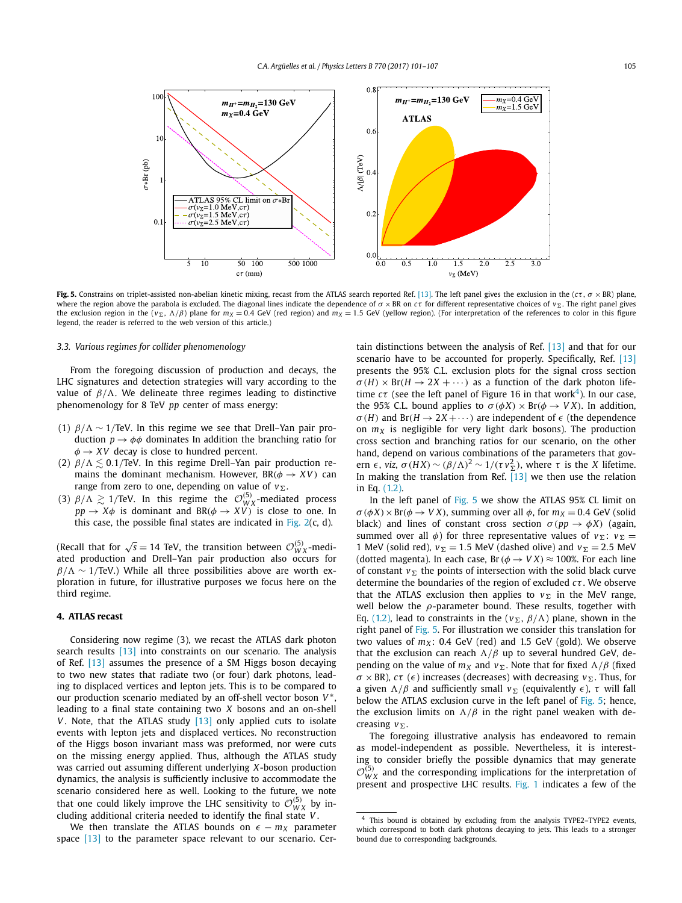<span id="page-4-0"></span>

**Fig. 5.** Constrains on triplet-assisted non-abelian kinetic mixing, recast from the ATLAS search reported Ref. [\[13\].](#page-6-0) The left panel gives the exclusion in the ( $c\tau$ ,  $\sigma \times BR$ ) plane, where the region above the parabola is excluded. The diagonal lines indicate the dependence of  $\sigma \times BR$  on  $c\tau$  for different representative choices of  $v_{\Sigma}$ . The right panel gives the exclusion region in the ( $v_{\Sigma}$ ,  $\Lambda/\beta$ ) plane for  $m_X = 0.4$  GeV (red region) and  $m_X = 1.5$  GeV (yellow region). (For interpretation of the references to color in this figure legend, the reader is referred to the web version of this article.)

### *3.3. Various regimes for collider phenomenology*

From the foregoing discussion of production and decays, the LHC signatures and detection strategies will vary according to the value of  $β/Λ$ . We delineate three regimes leading to distinctive phenomenology for 8 TeV *pp* center of mass energy:

- (1) *β/* ∼ 1*/*TeV. In this regime we see that Drell–Yan pair production  $p \rightarrow \phi \phi$  dominates In addition the branching ratio for  $\phi \rightarrow XV$  decay is close to hundred percent.
- (2) *β*/Λ  $\lesssim$  0.1/TeV. In this regime Drell–Yan pair production remains the dominant mechanism. However,  $BR(\phi \rightarrow XV)$  can range from zero to one, depending on value of  $v_{\Sigma}$ .
- (3)  $\beta/\Lambda \gtrsim 1/\text{TeV}$ . In this regime the  $\mathcal{O}_{WX}^{(5)}$ -mediated process  $pp \rightarrow X\phi$  is dominant and  $BR(\phi \rightarrow XV)$  is close to one. In this case, the possible final states are indicated in Fig.  $2(c, d)$ .

(Recall that for  $\sqrt{s} = 14$  TeV, the transition between  $\mathcal{O}_{WX}^{(5)}$ -mediated production and Drell–Yan pair production also occurs for *β/* Λ ∼ 1/TeV.) While all three possibilities above are worth exploration in future, for illustrative purposes we focus here on the third regime.

# **4. ATLAS recast**

Considering now regime (3), we recast the ATLAS dark photon search results [\[13\]](#page-6-0) into constraints on our scenario. The analysis of Ref. [\[13\]](#page-6-0) assumes the presence of a SM Higgs boson decaying to two new states that radiate two (or four) dark photons, leading to displaced vertices and lepton jets. This is to be compared to our production scenario mediated by an off-shell vector boson *V*<sup>∗</sup> leading to a final state containing two *X* bosons and an on-shell *V*. Note, that the ATLAS study [\[13\]](#page-6-0) only applied cuts to isolate events with lepton jets and displaced vertices. No reconstruction of the Higgs boson invariant mass was preformed, nor were cuts on the missing energy applied. Thus, although the ATLAS study was carried out assuming different underlying *X*-boson production dynamics, the analysis is sufficiently inclusive to accommodate the scenario considered here as well. Looking to the future, we note that one could likely improve the LHC sensitivity to  $\mathcal{O}_{WX}^{(5)}$  by including additional criteria needed to identify the final state *V* .

We then translate the ATLAS bounds on  $\epsilon - m_X$  parameter space [\[13\]](#page-6-0) to the parameter space relevant to our scenario. Certain distinctions between the analysis of Ref. [\[13\]](#page-6-0) and that for our scenario have to be accounted for properly. Specifically, Ref. [\[13\]](#page-6-0) presents the 95% C.L. exclusion plots for the signal cross section  $\sigma(H) \times Br(H \rightarrow 2X + \cdots)$  as a function of the dark photon lifetime  $c\tau$  (see the left panel of Figure 16 in that work<sup>4</sup>). In our case, the 95% C.L. bound applies to  $\sigma(\phi X) \times Br(\phi \rightarrow V X)$ . In addition, *σ*(*H*) and Br( $H \rightarrow 2X + \cdots$ ) are independent of  $\epsilon$  (the dependence on  $m<sub>X</sub>$  is negligible for very light dark bosons). The production cross section and branching ratios for our scenario, on the other hand, depend on various combinations of the parameters that govern  $\epsilon$ , *viz*,  $\sigma(HX) \sim (\beta/\Lambda)^2 \sim 1/(\tau v_{\Sigma}^2)$ , where  $\tau$  is the *X* lifetime. In making the translation from Ref.  $\overline{13}$  we then use the relation in Eq. [\(1.2\).](#page-0-0)

In the left panel of Fig. 5 we show the ATLAS 95% CL limit on  $\sigma(\phi X) \times Br(\phi \rightarrow V X)$ , summing over all  $\phi$ , for  $m_X = 0.4$  GeV (solid black) and lines of constant cross section  $\sigma(pp \to \phi X)$  (again, summed over all  $\phi$ ) for three representative values of  $v_{\Sigma}$ :  $v_{\Sigma}$  = 1 MeV (solid red),  $v_{\Sigma} = 1.5$  MeV (dashed olive) and  $v_{\Sigma} = 2.5$  MeV (dotted magenta). In each case, Br  $(\phi \rightarrow V X) \approx 100\%$ . For each line of constant  $v_{\Sigma}$  the points of intersection with the solid black curve determine the boundaries of the region of excluded *cτ* . We observe that the ATLAS exclusion then applies to  $v_{\Sigma}$  in the MeV range, well below the *ρ*-parameter bound. These results, together with Eq. [\(1.2\),](#page-0-0) lead to constraints in the ( $v_{\Sigma}$ ,  $\beta/\Lambda$ ) plane, shown in the right panel of Fig. 5. For illustration we consider this translation for two values of  $m_X$ : 0.4 GeV (red) and 1.5 GeV (gold). We observe that the exclusion can reach  $\Lambda/\beta$  up to several hundred GeV, depending on the value of  $m_X$  and  $v_\Sigma$ . Note that for fixed  $Λ/β$  (fixed *σ* × BR), *cτ* (*∈*) increases (decreases) with decreasing *v*<sub>Σ</sub>. Thus, for a given  $Λ/β$  and sufficiently small  $ν_Σ$  (equivalently  $ε$ ), τ will fall below the ATLAS exclusion curve in the left panel of Fig. 5; hence, the exclusion limits on  $\Lambda/\beta$  in the right panel weaken with decreasing *v*.

The foregoing illustrative analysis has endeavored to remain as model-independent as possible. Nevertheless, it is interesting to consider briefly the possible dynamics that may generate  $\mathcal{O}_{WX}^{(5)}$  and the corresponding implications for the interpretation of present and prospective LHC results. [Fig. 1](#page-2-0) indicates a few of the

<sup>4</sup> This bound is obtained by excluding from the analysis TYPE2–TYPE2 events, which correspond to both dark photons decaying to jets. This leads to a stronger bound due to corresponding backgrounds.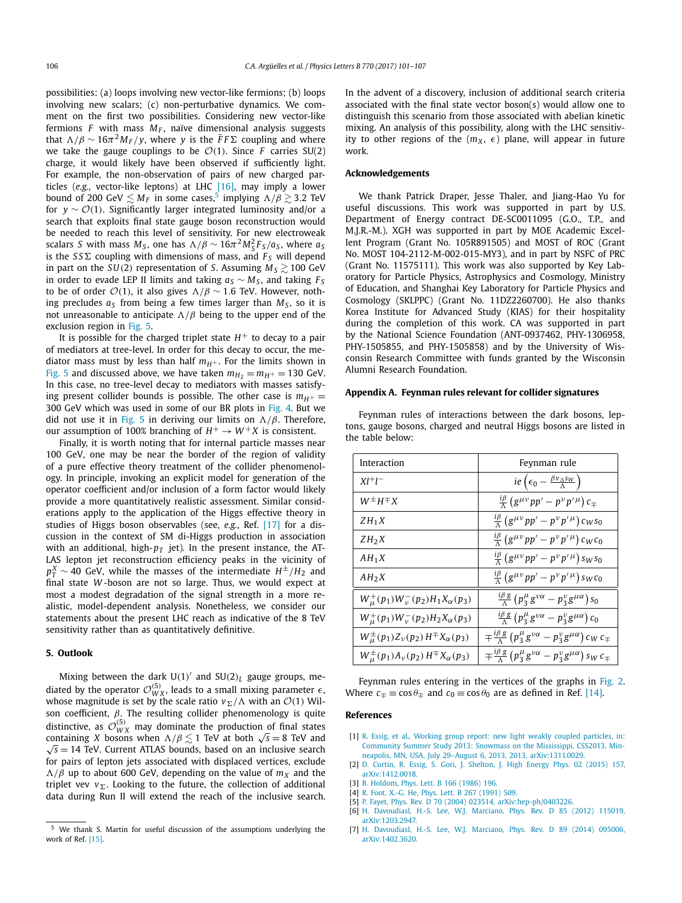<span id="page-5-0"></span>possibilities: (a) loops involving new vector-like fermions; (b) loops involving new scalars; (c) non-perturbative dynamics. We comment on the first two possibilities. Considering new vector-like fermions  $F$  with mass  $M_F$ , naïve dimensional analysis suggests that  $\Lambda/\beta \sim 16\pi^2 M_F/y$ , where *y* is the  $\bar{F}F\Sigma$  coupling and where we take the gauge couplings to be  $\mathcal{O}(1)$ . Since *F* carries SU(2) charge, it would likely have been observed if sufficiently light. For example, the non-observation of pairs of new charged particles (*e.g.*, vector-like leptons) at LHC [\[16\],](#page-6-0) may imply a lower bound of 200 GeV  $\lesssim$   $M_F$  in some cases, $^5$  implying  $\Lambda/\beta \gtrsim$  3.2 TeV for *<sup>y</sup>* ∼ O*(*1*)*. Significantly larger integrated luminosity and/or <sup>a</sup> search that exploits final state gauge boson reconstruction would be needed to reach this level of sensitivity. For new electroweak scalars *S* with mass  $M_S$ , one has  $\Lambda/\beta \sim 16\pi^2 M_S^2 F_S/a_S$ , where  $a_S$ is the  $S S \Sigma$  coupling with dimensions of mass, and  $F_S$  will depend in part on the *SU*(2) representation of *S*. Assuming  $M_s \ge 100$  GeV in order to evade LEP II limits and taking  $a_S \sim M_S$ , and taking  $F_S$ to be of order  $O(1)$ , it also gives  $\Lambda/\beta \sim 1.6$  TeV. However, nothing precludes  $a_S$  from being a few times larger than  $M_S$ , so it is not unreasonable to anticipate  $\Lambda/\beta$  being to the upper end of the exclusion region in [Fig. 5.](#page-4-0)

It is possible for the charged triplet state  $H^+$  to decay to a pair of mediators at tree-level. In order for this decay to occur, the mediator mass must by less than half  $m_{H^+}$ . For the limits shown in [Fig. 5](#page-4-0) and discussed above, we have taken  $m_{H_2} = m_{H^+} = 130$  GeV. In this case, no tree-level decay to mediators with masses satisfying present collider bounds is possible. The other case is  $m_{H^+}$  = 300 GeV which was used in some of our BR plots in [Fig. 4.](#page-3-0) But we did not use it in [Fig. 5](#page-4-0) in deriving our limits on  $\Lambda/\beta$ . Therefore, our assumption of 100% branching of  $H^+ \to W^+X$  is consistent.

Finally, it is worth noting that for internal particle masses near 100 GeV, one may be near the border of the region of validity of a pure effective theory treatment of the collider phenomenology. In principle, invoking an explicit model for generation of the operator coefficient and/or inclusion of a form factor would likely provide a more quantitatively realistic assessment. Similar considerations apply to the application of the Higgs effective theory in studies of Higgs boson observables (see, *e.g.*, Ref. [\[17\]](#page-6-0) for a discussion in the context of SM di-Higgs production in association with an additional, high- $p_T$  jet). In the present instance, the AT-LAS lepton jet reconstruction efficiency peaks in the vicinity of  $p_T^X \sim 40$  GeV, while the masses of the intermediate  $H^{\pm}/H_2$  and final state *W* -boson are not so large. Thus, we would expect at most a modest degradation of the signal strength in a more realistic, model-dependent analysis. Nonetheless, we consider our statements about the present LHC reach as indicative of the 8 TeV sensitivity rather than as quantitatively definitive.

## **5. Outlook**

Mixing between the dark  $U(1)'$  and  $SU(2)_L$  gauge groups, mediated by the operator  $\mathcal{O}_{WX}^{(5)}$ , leads to a small mixing parameter  $\epsilon$ , whose magnitude is set by the scale ratio  $v_{\Sigma}/\Lambda$  with an  $\mathcal{O}(1)$  Wilson coefficient, *β*. The resulting collider phenomenology is quite distinctive, as  $\mathcal{O}_{WX}^{(5)}$  may dominate the production of final states containing *X* bosons when  $\Lambda/\beta \lesssim 1$  TeV at both  $\sqrt{s} = 8$  TeV and <sup>√</sup>*<sup>s</sup>* <sup>=</sup> 14 TeV. Current ATLAS bounds, based on an inclusive search for pairs of lepton jets associated with displaced vertices, exclude  $\Lambda/\beta$  up to about 600 GeV, depending on the value of  $m_X$  and the triplet vev  $v_{\Sigma}$ . Looking to the future, the collection of additional data during Run II will extend the reach of the inclusive search. In the advent of a discovery, inclusion of additional search criteria associated with the final state vector boson(s) would allow one to distinguish this scenario from those associated with abelian kinetic mixing. An analysis of this possibility, along with the LHC sensitivity to other regions of the  $(m_X, \epsilon)$  plane, will appear in future work.

### **Acknowledgements**

We thank Patrick Draper, Jesse Thaler, and Jiang-Hao Yu for useful discussions. This work was supported in part by U.S. Department of Energy contract DE-SC0011095 (G.O., T.P., and M.J.R.-M.). XGH was supported in part by MOE Academic Excellent Program (Grant No. 105R891505) and MOST of ROC (Grant No. MOST 104-2112-M-002-015-MY3), and in part by NSFC of PRC (Grant No. 11575111). This work was also supported by Key Laboratory for Particle Physics, Astrophysics and Cosmology, Ministry of Education, and Shanghai Key Laboratory for Particle Physics and Cosmology (SKLPPC) (Grant No. 11DZ2260700). He also thanks Korea Institute for Advanced Study (KIAS) for their hospitality during the completion of this work. CA was supported in part by the National Science Foundation (ANT-0937462, PHY-1306958, PHY-1505855, and PHY-1505858) and by the University of Wisconsin Research Committee with funds granted by the Wisconsin Alumni Research Foundation.

## **Appendix A. Feynman rules relevant for collider signatures**

Feynman rules of interactions between the dark bosons, leptons, gauge bosons, charged and neutral Higgs bosons are listed in the table below:

| Interaction                                             | Feynman rule                                                                                                   |
|---------------------------------------------------------|----------------------------------------------------------------------------------------------------------------|
| $Xl^{+}l^{-}$                                           | $ie\left(\epsilon_0 - \frac{\beta v_{\Delta} s_W}{\Lambda}\right)$                                             |
| $W^{\pm}H^{\mp}X$                                       | $\frac{d\beta}{\Delta} \left( g^{\mu\nu} p p' - p^{\nu} p'^{\mu} \right) c_{\mp}$                              |
| $ZH_1X$                                                 | $\frac{d\beta}{\Delta} \left( g^{\mu\nu} p p' - p^{\nu} p'^{\mu} \right) c_W s_0$                              |
| $ZH_2X$                                                 | $\frac{d\beta}{d} \left( g^{\mu\nu} p p' - p^{\nu} p'^{\mu} \right) c_W c_0$                                   |
| $AH_1X$                                                 | $\frac{i\beta}{\lambda}\left(g^{\mu\nu}pp'-p^{\nu}p'^{\mu}\right)s_Ws_0$                                       |
| $AH_2X$                                                 | $\frac{\partial^2 u}{\partial \lambda} (g^{\mu\nu} pp' - p^{\nu} p'^{\mu}) s_W c_0$                            |
| $W^+_\mu(p_1)W^-_\nu(p_2)H_1X_\alpha(p_3)$              | $\frac{i\beta g}{\Delta} (p_3^{\mu} g^{\nu\alpha} - p_3^{\nu} g^{\mu\alpha}) s_0$                              |
| $W^+_\mu(p_1)W^-_\nu(p_2)H_2X_\alpha(p_3)$              | $\frac{1\beta g}{\Delta} \left( p_3^{\mu} g^{\nu\alpha} - p_3^{\nu} g^{\mu\alpha} \right) c_0$                 |
| $W^{\pm}_{\mu}(p_1)Z_{\nu}(p_2) H^{\mp}X_{\alpha}(p_3)$ | $\mp \frac{i \beta g}{\Delta} \left( p_3^{\mu} g^{\nu \alpha} - p_3^{\nu} g^{\mu \alpha} \right) c_W c_{\mp}$  |
| $W^{\pm}_{\mu}(p_1)A_{\nu}(p_2) H^{\mp}X_{\alpha}(p_3)$ | $\mp \frac{i \beta g}{\Lambda} \left( p_3^{\mu} g^{\nu \alpha} - p_3^{\nu} g^{\mu \alpha} \right) s_W c_{\mp}$ |

Feynman rules entering in the vertices of the graphs in [Fig. 2.](#page-2-0) Where  $c_{\pm} \equiv \cos \theta_{\mp}$  and  $c_0 \equiv \cos \theta_0$  are as defined in Ref. [\[14\].](#page-6-0)

#### **References**

- [1] R. Essig, et al., Working group report: new light weakly coupled [particles,](http://refhub.elsevier.com/S0370-2693(17)30311-8/bib45737369673A323031336C6Bs1) in: [Community](http://refhub.elsevier.com/S0370-2693(17)30311-8/bib45737369673A323031336C6Bs1) Summer Study 2013: Snowmass on the Mississippi, CSS2013, Minneapolis, MN, USA, July 29–August 6, 2013, 2013, [arXiv:1311.0029.](http://refhub.elsevier.com/S0370-2693(17)30311-8/bib45737369673A323031336C6Bs1)
- [2] D. Curtin, R. Essig, S. Gori, J. [Shelton,](http://refhub.elsevier.com/S0370-2693(17)30311-8/bib43757274696E3A32303134636361s1) J. High Energy Phys. 02 (2015) 157, [arXiv:1412.0018.](http://refhub.elsevier.com/S0370-2693(17)30311-8/bib43757274696E3A32303134636361s1)
- [3] B. [Holdom,](http://refhub.elsevier.com/S0370-2693(17)30311-8/bib486F6C646F6D3A313938356167s1) Phys. Lett. B 166 (1986) 196.
- [4] R. Foot, X.-G. He, Phys. Lett. B 267 [\(1991\)](http://refhub.elsevier.com/S0370-2693(17)30311-8/bib466F6F743A313939316B62s1) 509.
- [5] P. Fayet, Phys. Rev. D 70 (2004) 023514, [arXiv:hep-ph/0403226.](http://refhub.elsevier.com/S0370-2693(17)30311-8/bib46617965743A323030346277s1)
- [6] H. [Davoudiasl,](http://refhub.elsevier.com/S0370-2693(17)30311-8/bib4461766F75646961736C3A323031326167s1) H.-S. Lee, W.J. Marciano, Phys. Rev. D 85 (2012) 115019, [arXiv:1203.2947.](http://refhub.elsevier.com/S0370-2693(17)30311-8/bib4461766F75646961736C3A323031326167s1)
- [7] H. [Davoudiasl,](http://refhub.elsevier.com/S0370-2693(17)30311-8/bib4461766F75646961736C3A323031346B7561s1) H.-S. Lee, W.J. Marciano, Phys. Rev. D 89 (2014) 095006, [arXiv:1402.3620.](http://refhub.elsevier.com/S0370-2693(17)30311-8/bib4461766F75646961736C3A323031346B7561s1)

<sup>5</sup> We thank S. Martin for useful discussion of the assumptions underlying the work of Ref. [\[15\].](#page-6-0)